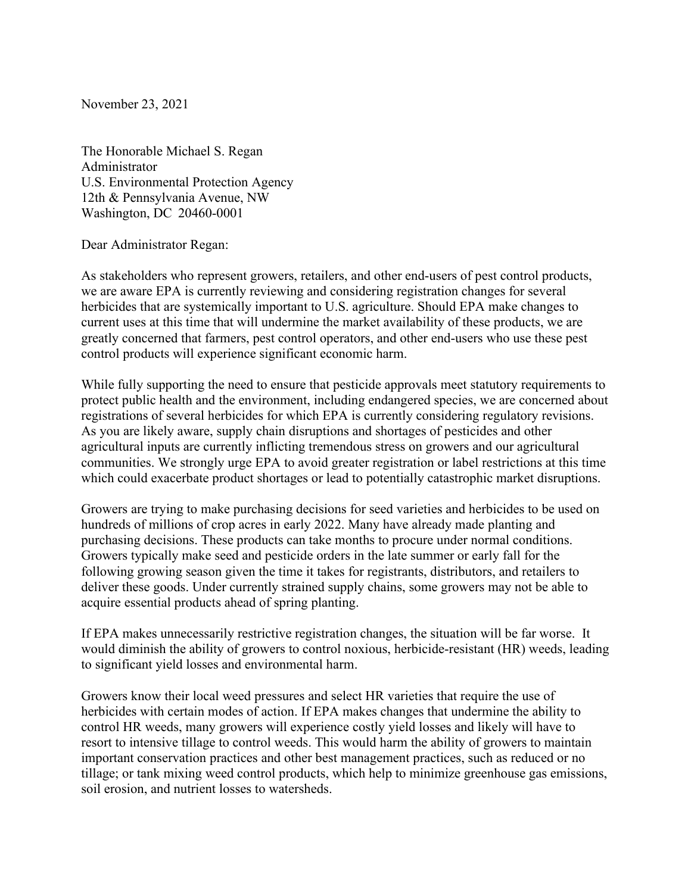November 23, 2021

The Honorable Michael S. Regan Administrator U.S. Environmental Protection Agency 12th & Pennsylvania Avenue, NW Washington, DC 20460-0001

Dear Administrator Regan:

As stakeholders who represent growers, retailers, and other end-users of pest control products, we are aware EPA is currently reviewing and considering registration changes for several herbicides that are systemically important to U.S. agriculture. Should EPA make changes to current uses at this time that will undermine the market availability of these products, we are greatly concerned that farmers, pest control operators, and other end-users who use these pest control products will experience significant economic harm.

While fully supporting the need to ensure that pesticide approvals meet statutory requirements to protect public health and the environment, including endangered species, we are concerned about registrations of several herbicides for which EPA is currently considering regulatory revisions. As you are likely aware, supply chain disruptions and shortages of pesticides and other agricultural inputs are currently inflicting tremendous stress on growers and our agricultural communities. We strongly urge EPA to avoid greater registration or label restrictions at this time which could exacerbate product shortages or lead to potentially catastrophic market disruptions.

Growers are trying to make purchasing decisions for seed varieties and herbicides to be used on hundreds of millions of crop acres in early 2022. Many have already made planting and purchasing decisions. These products can take months to procure under normal conditions. Growers typically make seed and pesticide orders in the late summer or early fall for the following growing season given the time it takes for registrants, distributors, and retailers to deliver these goods. Under currently strained supply chains, some growers may not be able to acquire essential products ahead of spring planting.

If EPA makes unnecessarily restrictive registration changes, the situation will be far worse. It would diminish the ability of growers to control noxious, herbicide-resistant (HR) weeds, leading to significant yield losses and environmental harm.

Growers know their local weed pressures and select HR varieties that require the use of herbicides with certain modes of action. If EPA makes changes that undermine the ability to control HR weeds, many growers will experience costly yield losses and likely will have to resort to intensive tillage to control weeds. This would harm the ability of growers to maintain important conservation practices and other best management practices, such as reduced or no tillage; or tank mixing weed control products, which help to minimize greenhouse gas emissions, soil erosion, and nutrient losses to watersheds.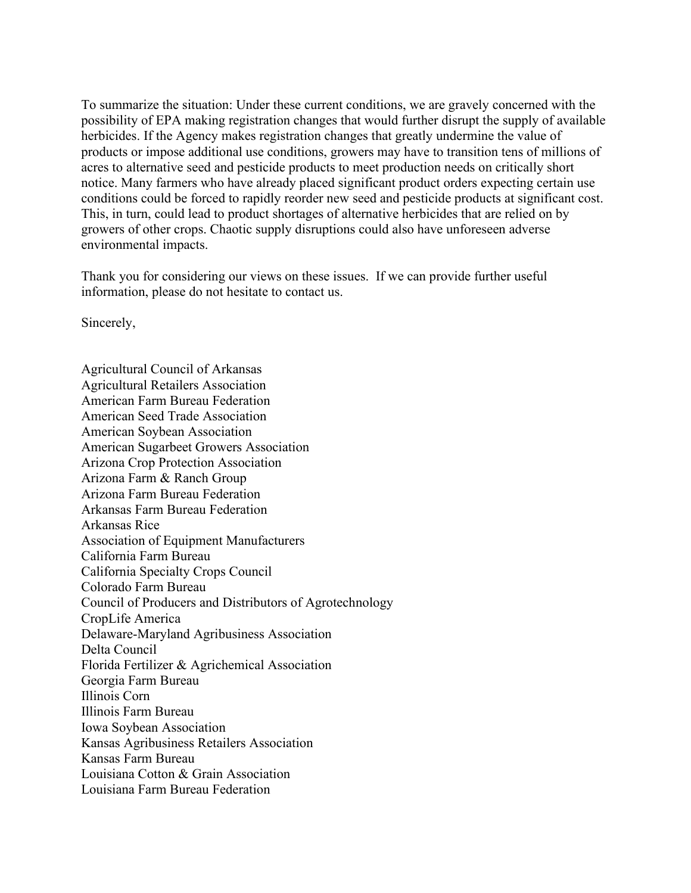To summarize the situation: Under these current conditions, we are gravely concerned with the possibility of EPA making registration changes that would further disrupt the supply of available herbicides. If the Agency makes registration changes that greatly undermine the value of products or impose additional use conditions, growers may have to transition tens of millions of acres to alternative seed and pesticide products to meet production needs on critically short notice. Many farmers who have already placed significant product orders expecting certain use conditions could be forced to rapidly reorder new seed and pesticide products at significant cost. This, in turn, could lead to product shortages of alternative herbicides that are relied on by growers of other crops. Chaotic supply disruptions could also have unforeseen adverse environmental impacts.

Thank you for considering our views on these issues. If we can provide further useful information, please do not hesitate to contact us.

Sincerely,

Agricultural Council of Arkansas Agricultural Retailers Association American Farm Bureau Federation American Seed Trade Association American Soybean Association American Sugarbeet Growers Association Arizona Crop Protection Association Arizona Farm & Ranch Group Arizona Farm Bureau Federation Arkansas Farm Bureau Federation Arkansas Rice Association of Equipment Manufacturers California Farm Bureau California Specialty Crops Council Colorado Farm Bureau Council of Producers and Distributors of Agrotechnology CropLife America Delaware-Maryland Agribusiness Association Delta Council Florida Fertilizer & Agrichemical Association Georgia Farm Bureau Illinois Corn Illinois Farm Bureau Iowa Soybean Association Kansas Agribusiness Retailers Association Kansas Farm Bureau Louisiana Cotton & Grain Association Louisiana Farm Bureau Federation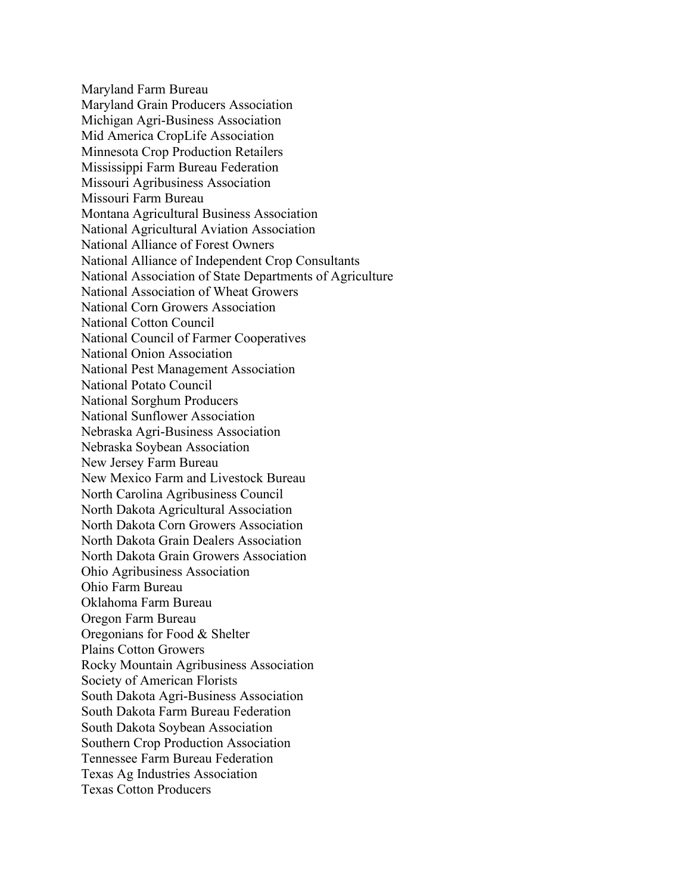Maryland Farm Bureau Maryland Grain Producers Association Michigan Agri-Business Association Mid America CropLife Association Minnesota Crop Production Retailers Mississippi Farm Bureau Federation Missouri Agribusiness Association Missouri Farm Bureau Montana Agricultural Business Association National Agricultural Aviation Association National Alliance of Forest Owners National Alliance of Independent Crop Consultants National Association of State Departments of Agriculture National Association of Wheat Growers National Corn Growers Association National Cotton Council National Council of Farmer Cooperatives National Onion Association National Pest Management Association National Potato Council National Sorghum Producers National Sunflower Association Nebraska Agri-Business Association Nebraska Soybean Association New Jersey Farm Bureau New Mexico Farm and Livestock Bureau North Carolina Agribusiness Council North Dakota Agricultural Association North Dakota Corn Growers Association North Dakota Grain Dealers Association North Dakota Grain Growers Association Ohio Agribusiness Association Ohio Farm Bureau Oklahoma Farm Bureau Oregon Farm Bureau Oregonians for Food & Shelter Plains Cotton Growers Rocky Mountain Agribusiness Association Society of American Florists South Dakota Agri-Business Association South Dakota Farm Bureau Federation South Dakota Soybean Association Southern Crop Production Association Tennessee Farm Bureau Federation Texas Ag Industries Association Texas Cotton Producers